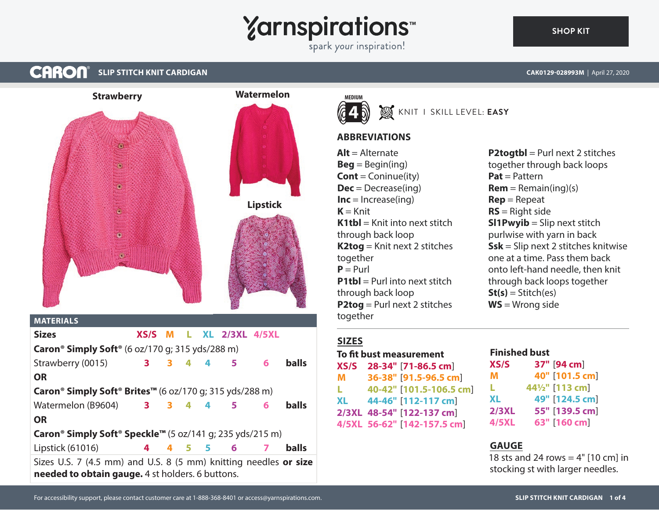# **Yarnspirations**

spark your inspiration!

#### **CARON SLIP STITCH KNIT CARDIGAN CAK0129-028993M** | April 27, 2020



# **Caron® Simply Soft® Brites™** (6 oz/170 g; 315 yds/288 m)

Watermelon (B9604) **3 3 4 4 5 6 balls OR**

```
Caron® Simply Soft® Speckle™ (5 oz/141 g; 235 yds/215 m)
```
Lipstick (61016) **4 4 5 5 6 7 balls**

Sizes U.S. 7 (4.5 mm) and U.S. 8 (5 mm) knitting needles **or size needed to obtain gauge.** 4 st holders. 6 buttons.





## **ABBREVIATIONS**

**Alt** = Alternate  $Beq = Beqin(inq)$ **Cont** = Coninue(ity) **Dec** = Decrease(ing)  $Inc = Increase(ing)$  $K = Knit$  $K1tbI = K$ nit into next stitch through back loop **K2tog** = Knit next 2 stitches together  $P = Purl$ **P1tbl** = Purl into next stitch through back loop **P2tog** = Purl next 2 stitches together

# **SIZES**

**To fit bust measurement XS/S 28-34"** [**71-86.5 cm**] **M 36-38"** [**91.5-96.5 cm**] **L 40-42"** [**101.5-106.5 cm**] **XL 44-46"** [**112-117 cm**] **2/3XL 48-54"** [**122-137 cm**] **4/5XL 56-62"** [**142-157.5 cm**]

#### **P2togtbl** = Purl next 2 stitches together through back loops **Pat** = Pattern  $Rem = Remain(ing)(s)$ **Rep** = Repeat **RS** = Right side **Sl1Pwyib** = Slip next stitch purlwise with yarn in back **Ssk** = Slip next 2 stitches knitwise one at a time. Pass them back onto left-hand needle, then knit through back loops together **St(s)** = Stitch(es) **WS** = Wrong side

#### **Finished bust XS/S 37"** [**94 cm**] **M 40"** [**101.5 cm**] **L 44½"** [**113 cm**] **XL 49"** [**124.5 cm**] **2/3XL 55"** [**139.5 cm**] **4/5XL 63"** [**160 cm**]

### **GAUGE**

18 sts and 24 rows  $=$  4" [10 cm] in stocking st with larger needles.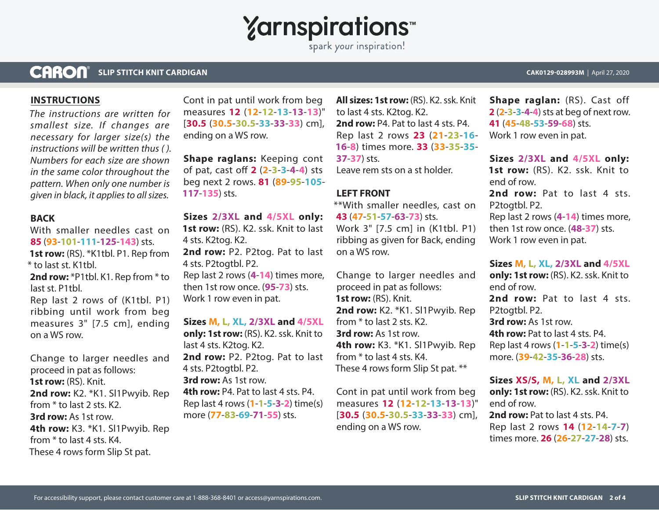**Yarnspirations** 

spark your inspiration!

#### **CARON® SLIP STITCH KNIT CARDIGAN CAK0129-028993M** | April 27, 2020

#### **INSTRUCTIONS**

*The instructions are written for smallest size. If changes are necessary for larger size(s) the instructions will be written thus ( ). Numbers for each size are shown in the same color throughout the pattern. When only one number is given in black, it applies to all sizes.*

#### **BACK**

With smaller needles cast on **85** (**93**-**101**-**111**-**125**-**143**) sts. **1st row:** (RS). \*K1tbl. P1. Rep from \* to last st. K1tbl. 2nd row: \*P1tbl. K1. Rep from \* to last st. P1tbl.

Rep last 2 rows of (K1tbl. P1) ribbing until work from beg measures 3" [7.5 cm], ending on a WS row.

Change to larger needles and proceed in pat as follows: **1st row:** (RS). Knit. 2nd row: K2. \*K1. Sl1Pwyib. Rep from \* to last 2 sts. K2. **3rd row:** As 1st row. **4th row:** K3. \*K1. Sl1Pwyib. Rep from \* to last 4 sts. K4. These 4 rows form Slip St pat.

Cont in pat until work from beg measures **12** (**12**-**12**-**13**-**13**-**13**)" [**30.5** (**30.5**-**30.5**-**33**-**33**-**33**) cm], ending on a WS row.

**Shape raglans:** Keeping cont of pat, cast o **2** (**2**-**3**-**3**-**4**-**4**) sts beg next 2 rows. **81** (**89**-**95**-**105**- **117**-**135**) sts.

**Sizes 2/3XL and 4/5XL only:**

**1st row:** (RS). K2. ssk. Knit to last 4 sts. K2tog. K2. **2nd row:** P2. P2tog. Pat to last 4 sts. P2togtbl. P2. Rep last 2 rows (**4**-**14**) times more, then 1st row once. (**95**-**73**) sts. Work 1 row even in pat.

**Sizes M, L, XL, 2/3XL and 4/5XL only: 1st row:** (RS). K2. ssk. Knit to last 4 sts. K2tog. K2. 2nd row: P2. P2tog. Pat to last 4 sts. P2togtbl. P2. **3rd row:** As 1st row. **4th row:** P4. Pat to last 4 sts. P4. Rep last 4 rows (**1**-**1**-**5**-**3**-**2**) time(s) more (**77**-**83**-**69**-**71**-**55**) sts.

**All sizes: 1st row:** (RS). K2. ssk. Knit to last 4 sts. K2tog. K2. **2nd row:** P4. Pat to last 4 sts. P4. Rep last 2 rows **23** (**21**-**23**-**16**- **16**-**8**) times more. **33** (**33**-**35**-**35**- **37**-**37**) sts. Leave rem sts on a st holder.

#### **LEFT FRONT**

\*\*With smaller needles, cast on **43** (**47**-**51**-**57**-**63**-**73**) sts. Work 3" [7.5 cm] in (K1tbl. P1) ribbing as given for Back, ending on a WS row.

Change to larger needles and proceed in pat as follows: **1st row:** (RS). Knit. **2nd row:** K2. \*K1. Sl1Pwyib. Rep from \* to last 2 sts. K2. **3rd row:** As 1st row. **4th row:** K3. \*K1. Sl1Pwyib. Rep from \* to last 4 sts. K4. These 4 rows form Slip St pat. \*\*

Cont in pat until work from beg measures **12** (**12**-**12**-**13**-**13**-**13**)" [**30.5** (**30.5**-**30.5**-**33**-**33**-**33**) cm], ending on a WS row.

**Shape raglan:** (RS). Cast off **2** (**2**-**3**-**3**-**4**-**4**) sts at beg of next row. **41** (**45**-**48**-**53**-**59**-**68**) sts. Work 1 row even in pat.

**Sizes 2/3XL and 4/5XL only: 1st row:** (RS). K2. ssk. Knit to end of row. 2nd row: Pat to last 4 sts.

P2togtbl. P2. Rep last 2 rows (**4**-**14**) times more, then 1st row once. (**48**-**37**) sts.

Work 1 row even in pat.

**Sizes M, L, XL, 2/3XL and 4/5XL** 

**only: 1st row:** (RS). K2. ssk. Knit to end of row. 2nd row: Pat to last 4 sts. P2togtbl. P2. **3rd row:** As 1st row. **4th row:** Pat to last 4 sts. P4. Rep last 4 rows (**1**-**1**-**5**-**3**-**2**) time(s) more. (**39**-**42**-**35**-**36**-**28**) sts.

**Sizes XS/S, M, L, XL and 2/3XL only: 1st row:** (RS). K2. ssk. Knit to end of row. **2nd row:** Pat to last 4 sts. P4. Rep last 2 rows **14** (**12**-**14**-**7**-**7**) times more. **26** (**26**-**27**-**27**-**28**) sts.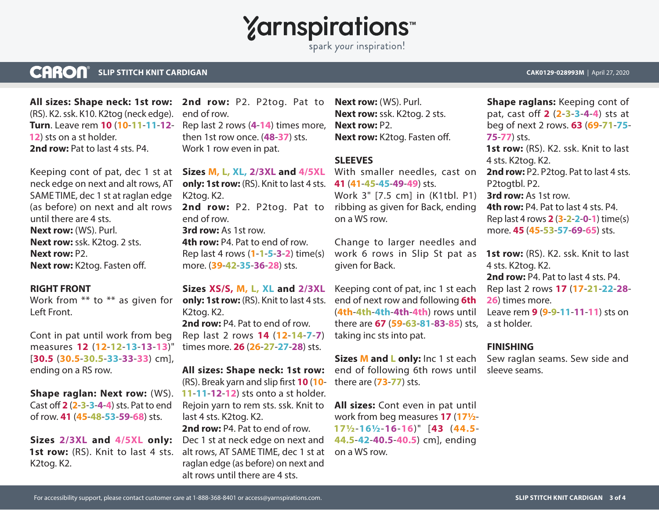# **Yarnspirations**

spark your inspiration!

#### **CARON® SLIP STITCH KNIT CARDIGAN CAK0129-028993M** | April 27, 2020

**All sizes: Shape neck: 1st row:** (RS). K2. ssk. K10. K2tog (neck edge). **Turn**. Leave rem **10** (**10**-**11**-**11**-**12**- **12**) sts on a st holder. **2nd row:** Pat to last 4 sts. P4.

Keeping cont of pat, dec 1 st at neck edge on next and alt rows, AT SAME TIME, dec 1 st at raglan edge (as before) on next and alt rows until there are 4 sts. **Next row:** (WS). Purl. **Next row:** ssk. K2tog. 2 sts. **Next row:** P2. **Next row: K2tog. Fasten off.** 

#### **RIGHT FRONT**

Work from \*\* to \*\* as given for Left Front.

Cont in pat until work from beg measures **12** (**12**-**12**-**13**-**13**-**13**)" [**30.5** (**30.5**-**30.5**-**33**-**33**-**33**) cm], ending on a RS row.

**Shape raglan: Next row:** (WS). Cast o **2** (**2**-**3**-**3**-**4**-**4**) sts. Pat to end of row. **41** (**45**-**48**-**53**-**59**-**68**) sts.

1st row: (RS). Knit to last 4 sts. K2tog. K2.

2nd row: P2. P2tog. Pat to end of row. Rep last 2 rows (**4**-**14**) times more, then 1st row once. (**48**-**37**) sts. Work 1 row even in pat.

**Sizes M, L, XL, 2/3XL and 4/5XL only: 1st row:** (RS). Knit to last 4 sts. **41** (**41**-**45**-**45**-**49**-**49**) sts. K2tog. K2. 2nd row: P2. P2tog. Pat to end of row. **3rd row:** As 1st row. **4th row:** P4. Pat to end of row. Rep last 4 rows (**1**-**1**-**5**-**3**-**2**) time(s) more. (**39**-**42**-**35**-**36**-**28**) sts.

**Sizes XS/S, M, L, XL and 2/3XL only: 1st row:** (RS). Knit to last 4 sts. K2tog. K2. **2nd row:** P4. Pat to end of row. Rep last 2 rows **14** (**12**-**14**-**7**-**7**) times more. **26** (**26**-**27**-**27**-**28**) sts.

**All sizes: Shape neck: 1st row:** (RS). Break yarn and slip first **10 (10-11**-**11**-**12**-**12**) sts onto a st holder. Rejoin yarn to rem sts. ssk. Knit to last 4 sts. K2tog. K2.

Sizes 2/3XL and 4/5XL only: Dec 1 st at neck edge on next and **2nd row:** P4. Pat to end of row. alt rows, AT SAME TIME, dec 1 st at raglan edge (as before) on next and alt rows until there are 4 sts.

**Next row:** (WS). Purl. **Next row:** ssk. K2tog. 2 sts. **Next row:** P2. **Next row: K2tog. Fasten off.** 

#### **SLEEVES**

With smaller needles, cast on Work 3" [7.5 cm] in (K1tbl. P1) ribbing as given for Back, ending on a WS row.

Change to larger needles and work 6 rows in Slip St pat as given for Back.

Keeping cont of pat, inc 1 st each end of next row and following **6th**  (**4th**-**4th**-**4th**-**4th**-**4th**) rows until there are **67** (**59**-**63**-**81**-**83**-**85**) sts, a st holder. taking inc sts into pat.

**Sizes M and L only:** Inc 1 st each end of following 6th rows until there are (**73**-**77**) sts.

**All sizes:** Cont even in pat until work from beg measures **17** (**17½**- **17½**-**16½**-**16**-**16**)" [**43** (**44.5**- **44.5**-**42**-**40.5**-**40.5**) cm], ending on a WS row.

**Shape raglans:** Keeping cont of pat, cast off **2** (**2**-**3**-**3**-**4**-**4**) sts at beg of next 2 rows. **63** (**69**-**71**-**75**- **75**-**77**) sts. **1st row:** (RS). K2. ssk. Knit to last 4 sts. K2tog. K2. **2nd row:** P2. P2tog. Pat to last 4 sts. P2togtbl. P2. **3rd row:** As 1st row. **4th row:** P4. Pat to last 4 sts. P4. Rep last 4 rows **2** (**3**-**2**-**2**-**0**-**1**) time(s) more. **45** (**45**-**53**-**57**-**69**-**65**) sts.

1st row: (RS). K2. ssk. Knit to last 4 sts. K2tog. K2. **2nd row:** P4. Pat to last 4 sts. P4. Rep last 2 rows **17** (**17**-**21**-**22**-**28**- **26**) times more. Leave rem **9** (**9**-**9**-**11**-**11**-**11**) sts on

### **FINISHING**

Sew raglan seams. Sew side and sleeve seams.